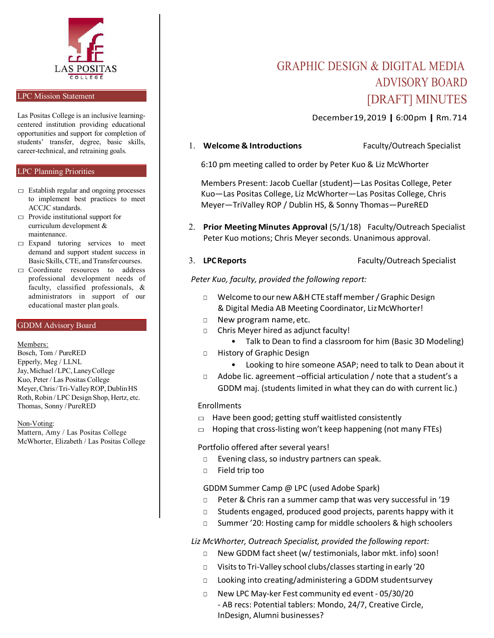

#### LPC Mission Statement

Las Positas College is an inclusive learningcentered institution providing educational opportunities and support for completion of students' transfer, degree, basic skills, career-technical, and retraining goals.

#### LPC Planning Priorities

- □ Establish regular and ongoing processes to implement best practices to meet ACCJC standards.
- $\Box$  Provide institutional support for curriculum development & maintenance.
- □ Expand tutoring services to meet demand and support student success in Basic Skills, CTE, and Transfer courses.
- □ Coordinate resources to address professional development needs of faculty, classified professionals, & administrators in support of our educational master plan goals.

#### GDDM Advisory Board

#### Members:

Bosch, Tom / PureRED Epperly, Meg / LLNL Jay,Michael /LPC,LaneyCollege Kuo, Peter / Las Positas College Meyer,Chris/Tri-ValleyROP, DublinHS Roth, Robin /LPC Design Shop, Hertz, etc. Thomas, Sonny /PureRED

Non-Voting:

Mattern, Amy / Las Positas College McWhorter, Elizabeth / Las Positas College

# GRAPHIC DESIGN & DIGITAL MEDIA ADVISORY BOARD [DRAFT] MINUTES

## December19,2019 | 6:00pm | Rm.714

#### 1. **Welcome & Introductions** Faculty/Outreach Specialist

6:10 pm meeting called to order by Peter Kuo & Liz McWhorter

 Members Present: Jacob Cuellar (student)—Las Positas College, Peter Kuo—Las Positas College, Liz McWhorter—Las Positas College, Chris Meyer—TriValley ROP / Dublin HS, & Sonny Thomas—PureRED

- 2. **Prior Meeting Minutes Approval** (5/1/18) Faculty/Outreach Specialist Peter Kuo motions; Chris Meyer seconds. Unanimous approval.
- 

3. **LPCReports** Faculty/Outreach Specialist

## *Peter Kuo, faculty, provided the following report:*

- □ Welcome to our new A&H CTE staffmember/Graphic Design & Digital Media AB Meeting Coordinator, LizMcWhorter!
- □ New program name, etc.
- □ Chris Meyer hired as adjunct faculty!
	- Talk to Dean to find a classroom for him (Basic 3D Modeling)
- □ History of Graphic Design
	- Looking to hire someone ASAP; need to talk to Dean about it
- □ Adobe lic. agreement official articulation / note that a student's a GDDM maj. (students limited in what they can do with current lic.)

#### Enrollments

- $\Box$  Have been good; getting stuff waitlisted consistently
- $\Box$  Hoping that cross-listing won't keep happening (not many FTEs)

## Portfolio offered after several years!

- □ Evening class, so industry partners can speak.
- □ Field trip too

## GDDM Summer Camp @ LPC (used Adobe Spark)

- □ Peter & Chris ran a summer camp that was very successful in '19
- □ Students engaged, produced good projects, parents happy with it
- □ Summer '20: Hosting camp for middle schoolers & high schoolers

## *Liz McWhorter, Outreach Specialist, provided the following report:*

- □ New GDDM fact sheet (w/ testimonials, labor mkt. info) soon!
- □ Visits to Tri-Valley school clubs/classes starting in early '20
- □ Looking into creating/administering a GDDM studentsurvey
- □ New LPC May-ker Fest community ed event 05/30/20 - AB recs: Potential tablers: Mondo, 24/7, Creative Circle, InDesign, Alumni businesses?